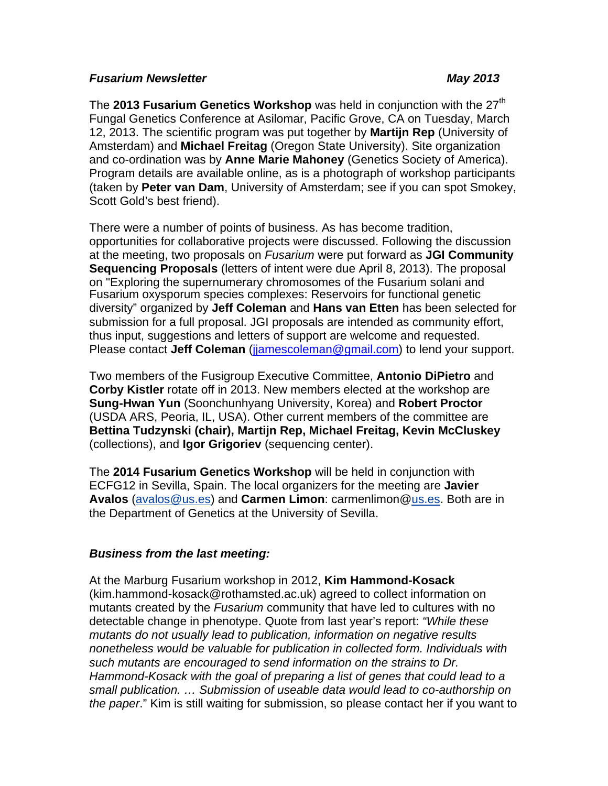### *Fusarium Newsletter May 2013*

The **2013 Fusarium Genetics Workshop** was held in conjunction with the 27<sup>th</sup> Fungal Genetics Conference at Asilomar, Pacific Grove, CA on Tuesday, March 12, 2013. The scientific program was put together by **Martijn Rep** (University of Amsterdam) and **Michael Freitag** (Oregon State University). Site organization and co-ordination was by **Anne Marie Mahoney** (Genetics Society of America). Program details are available online, as is a photograph of workshop participants (taken by **Peter van Dam**, University of Amsterdam; see if you can spot Smokey, Scott Gold's best friend).

There were a number of points of business. As has become tradition, opportunities for collaborative projects were discussed. Following the discussion at the meeting, two proposals on *Fusarium* were put forward as **JGI Community Sequencing Proposals** (letters of intent were due April 8, 2013). The proposal on "Exploring the supernumerary chromosomes of the Fusarium solani and Fusarium oxysporum species complexes: Reservoirs for functional genetic diversity" organized by **Jeff Coleman** and **Hans van Etten** has been selected for submission for a full proposal. JGI proposals are intended as community effort, thus input, suggestions and letters of support are welcome and requested. Please contact **Jeff Coleman** (jjamescoleman@gmail.com) to lend your support.

Two members of the Fusigroup Executive Committee, **Antonio DiPietro** and **Corby Kistler** rotate off in 2013. New members elected at the workshop are **Sung-Hwan Yun** (Soonchunhyang University, Korea) and **Robert Proctor** (USDA ARS, Peoria, IL, USA). Other current members of the committee are **Bettina Tudzynski (chair), Martijn Rep, Michael Freitag, Kevin McCluskey** (collections), and **Igor Grigoriev** (sequencing center).

The **2014 Fusarium Genetics Workshop** will be held in conjunction with ECFG12 in Sevilla, Spain. The local organizers for the meeting are **Javier Avalos** (avalos@us.es) and **Carmen Limon**: carmenlimon@us.es. Both are in the Department of Genetics at the University of Sevilla.

## *Business from the last meeting:*

At the Marburg Fusarium workshop in 2012, **Kim Hammond-Kosack** (kim.hammond-kosack@rothamsted.ac.uk) agreed to collect information on mutants created by the *Fusarium* community that have led to cultures with no detectable change in phenotype. Quote from last year's report: *"While these mutants do not usually lead to publication, information on negative results nonetheless would be valuable for publication in collected form. Individuals with such mutants are encouraged to send information on the strains to Dr. Hammond-Kosack with the goal of preparing a list of genes that could lead to a small publication. … Submission of useable data would lead to co-authorship on the paper*." Kim is still waiting for submission, so please contact her if you want to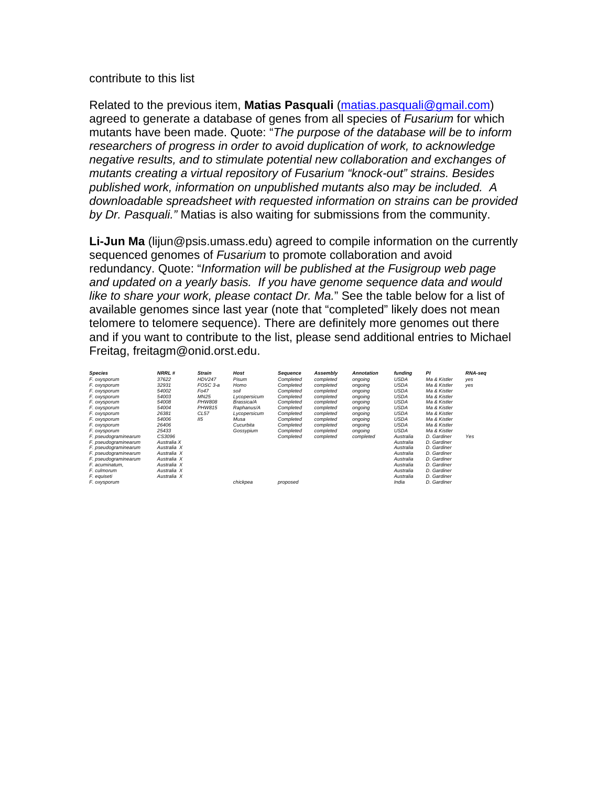#### contribute to this list

Related to the previous item, **Matias Pasquali** (matias.pasquali@gmail.com) agreed to generate a database of genes from all species of *Fusarium* for which mutants have been made. Quote: "*The purpose of the database will be to inform researchers of progress in order to avoid duplication of work, to acknowledge negative results, and to stimulate potential new collaboration and exchanges of mutants creating a virtual repository of Fusarium "knock-out" strains. Besides published work, information on unpublished mutants also may be included. A downloadable spreadsheet with requested information on strains can be provided by Dr. Pasquali."* Matias is also waiting for submissions from the community.

**Li-Jun Ma** (lijun@psis.umass.edu) agreed to compile information on the currently sequenced genomes of *Fusarium* to promote collaboration and avoid redundancy. Quote: "*Information will be published at the Fusigroup web page and updated on a yearly basis. If you have genome sequence data and would like to share your work, please contact Dr. Ma.*" See the table below for a list of available genomes since last year (note that "completed" likely does not mean telomere to telomere sequence). There are definitely more genomes out there and if you want to contribute to the list, please send additional entries to Michael Freitag, freitagm@onid.orst.edu.

| <b>Species</b>       | <b>NRRL#</b> | <b>Strain</b>   | Host         | Sequence  | Assembly  | <b>Annotation</b> | funding     | PI           | RNA-sea |
|----------------------|--------------|-----------------|--------------|-----------|-----------|-------------------|-------------|--------------|---------|
| F. oxysporum         | 37622        | <b>HDV247</b>   | Pisum        | Completed | completed | ongoing           | <b>USDA</b> | Ma & Kistler | yes     |
| F. oxysporum         | 32931        | FOSC 3-a        | Homo         | Completed | completed | ongoing           | <b>USDA</b> | Ma & Kistler | yes     |
| F. oxysporum         | 54002        | Fo47            | soil         | Completed | completed | ongoing           | <b>USDA</b> | Ma & Kistler |         |
| F. oxysporum         | 54003        | MN25            | Lycopersicum | Completed | completed | ongoing           | <b>USDA</b> | Ma & Kistler |         |
| F. oxysporum         | 54008        | <b>PHW808</b>   | Brassica/A   | Completed | completed | ongoing           | <b>USDA</b> | Ma & Kistler |         |
| F. oxysporum         | 54004        | PHW815          | Raphanus/A   | Completed | completed | ongoing           | <b>USDA</b> | Ma & Kistler |         |
| F. oxysporum         | 26381        | CL57            | Lycopersicum | Completed | completed | ongoing           | <b>USDA</b> | Ma & Kistler |         |
| F. oxysporum         | 54006        | II <sub>5</sub> | Musa         | Completed | completed | ongoing           | <b>USDA</b> | Ma & Kistler |         |
| F. oxysporum         | 26406        |                 | Cucurbita    | Completed | completed | ongoing           | <b>USDA</b> | Ma & Kistler |         |
| F. oxysporum         | 25433        |                 | Gossypium    | Completed | completed | ongoing           | <b>USDA</b> | Ma & Kistler |         |
| F. pseudograminearum | CS3096       |                 |              | Completed | completed | completed         | Australia   | D. Gardiner  | Yes     |
| F. pseudograminearum | Australia X  |                 |              |           |           |                   | Australia   | D. Gardiner  |         |
| F. pseudograminearum | Australia X  |                 |              |           |           |                   | Australia   | D. Gardiner  |         |
| F. pseudograminearum | Australia X  |                 |              |           |           |                   | Australia   | D. Gardiner  |         |
| F. pseudograminearum | Australia X  |                 |              |           |           |                   | Australia   | D. Gardiner  |         |
| F. acuminatum.       | Australia X  |                 |              |           |           |                   | Australia   | D. Gardiner  |         |
| F. culmorum          | Australia X  |                 |              |           |           |                   | Australia   | D. Gardiner  |         |
| F. equiseti          | Australia X  |                 |              |           |           |                   | Australia   | D. Gardiner  |         |
| F. oxysporum         |              |                 | chickpea     | proposed  |           |                   | India       | D. Gardiner  |         |
|                      |              |                 |              |           |           |                   |             |              |         |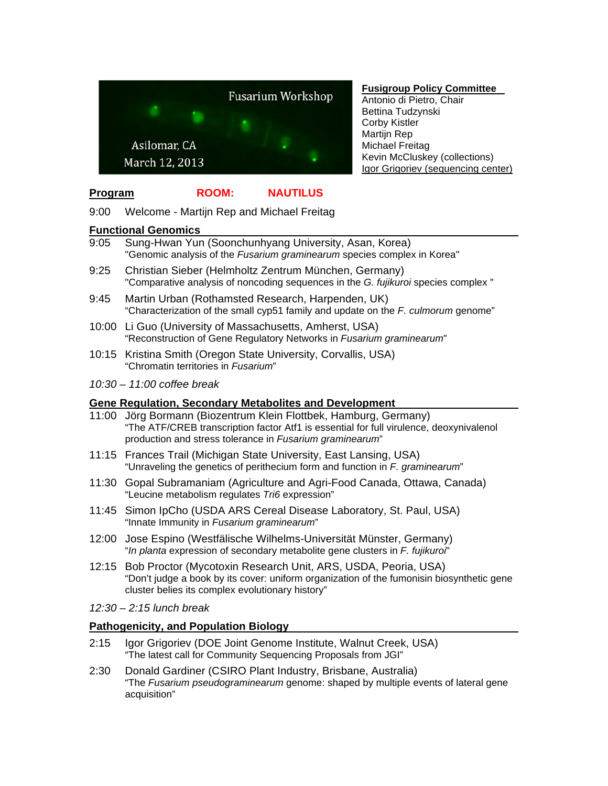

#### **Fusigroup Policy Committee**

Antonio di Pietro, Chair Bettina Tudzynski Corby Kistler Martijn Rep Michael Freitag Kevin McCluskey (collections) Igor Grigoriev (sequencing center)

## **Program ROOM: NAUTILUS**

9:00 Welcome - Martijn Rep and Michael Freitag

#### **Functional Genomics**

- 9:05 Sung-Hwan Yun (Soonchunhyang University, Asan, Korea) "Genomic analysis of the *Fusarium graminearum* species complex in Korea"
- 9:25 Christian Sieber (Helmholtz Zentrum München, Germany) "Comparative analysis of noncoding sequences in the *G. fujikuroi* species complex "
- 9:45 Martin Urban (Rothamsted Research, Harpenden, UK) "Characterization of the small cyp51 family and update on the *F. culmorum* genome"
- 10:00 Li Guo (University of Massachusetts, Amherst, USA) "Reconstruction of Gene Regulatory Networks in *Fusarium graminearum*"
- 10:15 Kristina Smith (Oregon State University, Corvallis, USA) "Chromatin territories in *Fusarium*"
- *10:30 11:00 coffee break*

#### **Gene Regulation, Secondary Metabolites and Development**

- 11:00 Jörg Bormann (Biozentrum Klein Flottbek, Hamburg, Germany) "The ATF/CREB transcription factor Atf1 is essential for full virulence, deoxynivalenol production and stress tolerance in *Fusarium graminearum*"
- 11:15 Frances Trail (Michigan State University, East Lansing, USA) "Unraveling the genetics of perithecium form and function in *F. graminearum*"
- 11:30 Gopal Subramaniam (Agriculture and Agri-Food Canada, Ottawa, Canada) "Leucine metabolism regulates *Tri6* expression"
- 11:45 Simon IpCho (USDA ARS Cereal Disease Laboratory, St. Paul, USA) "Innate Immunity in *Fusarium graminearum*"
- 12:00 Jose Espino (Westfälische Wilhelms-Universität Münster, Germany) "*In planta* expression of secondary metabolite gene clusters in *F. fujikuroi*"
- 12:15 Bob Proctor (Mycotoxin Research Unit, ARS, USDA, Peoria, USA) "Don't judge a book by its cover: uniform organization of the fumonisin biosynthetic gene cluster belies its complex evolutionary history"
- *12:30 2:15 lunch break*

#### **Pathogenicity, and Population Biology**

- 2:15 Igor Grigoriev (DOE Joint Genome Institute, Walnut Creek, USA) "The latest call for Community Sequencing Proposals from JGI"
- 2:30 Donald Gardiner (CSIRO Plant Industry, Brisbane, Australia) "The *Fusarium pseudograminearum* genome: shaped by multiple events of lateral gene acquisition"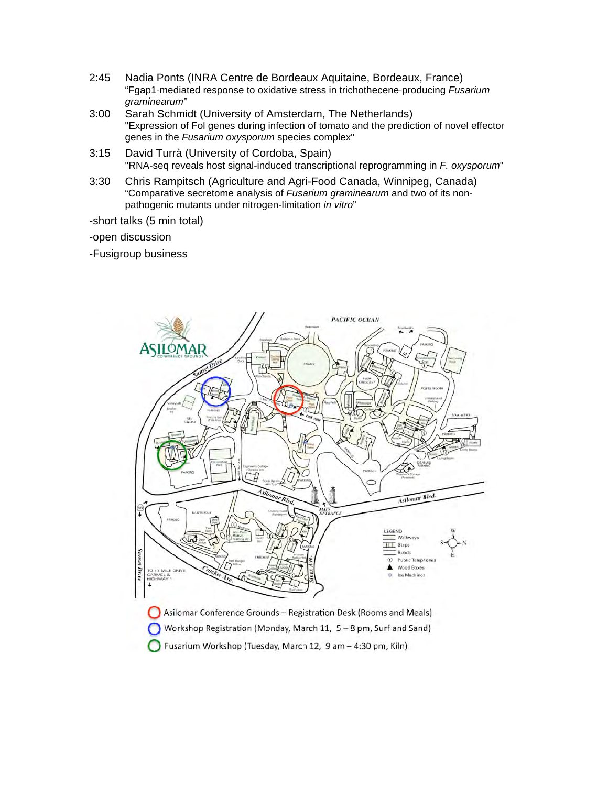- 2:45 Nadia Ponts (INRA Centre de Bordeaux Aquitaine, Bordeaux, France) "Fgap1!mediated response to oxidative stress in trichothecene!producing *Fusarium graminearum"*
- 3:00 Sarah Schmidt (University of Amsterdam, The Netherlands) "Expression of Fol genes during infection of tomato and the prediction of novel effector genes in the *Fusarium oxysporum* species complex"
- 3:15 David Turrà (University of Cordoba, Spain) "RNA-seq reveals host signal-induced transcriptional reprogramming in *F. oxysporum*"
- 3:30 Chris Rampitsch (Agriculture and Agri-Food Canada, Winnipeg, Canada) "Comparative secretome analysis of *Fusarium graminearum* and two of its nonpathogenic mutants under nitrogen-limitation *in vitro*"

-short talks (5 min total)

-open discussion

-Fusigroup business

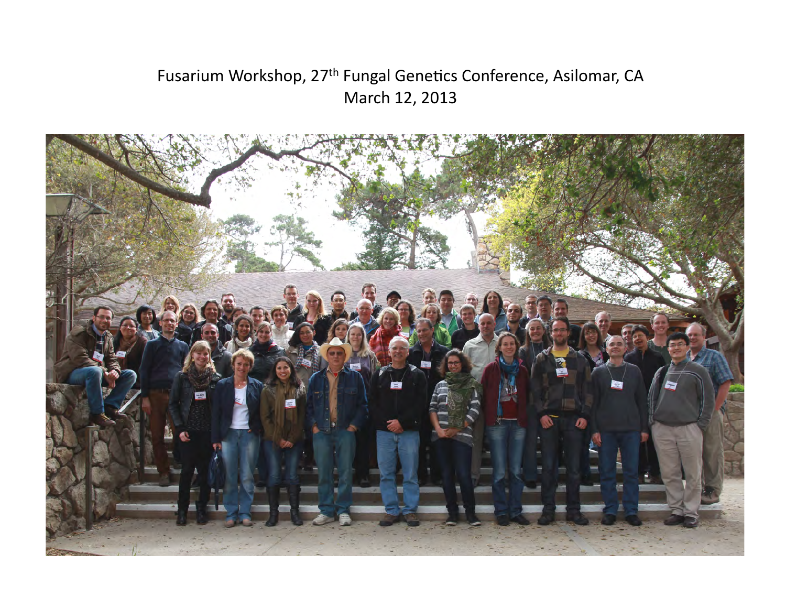# Fusarium Workshop, 27<sup>th</sup> Fungal Genetics Conference, Asilomar, CA March 12, 2013